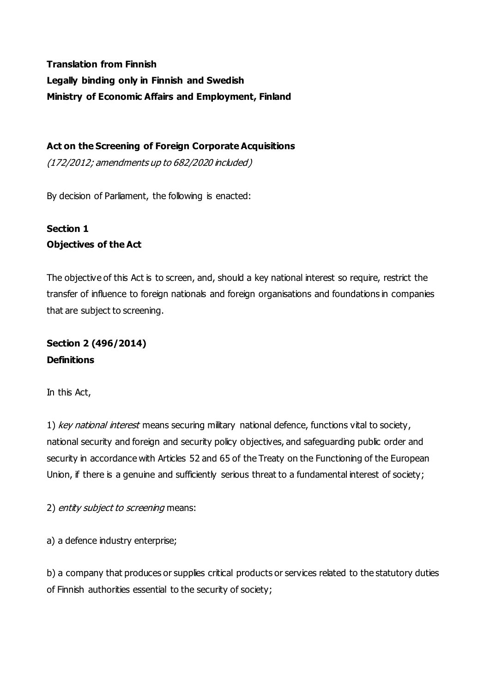**Translation from Finnish Legally binding only in Finnish and Swedish Ministry of Economic Affairs and Employment, Finland**

**Act on the Screening of Foreign Corporate Acquisitions**

(172/2012; amendments up to 682/2020 included)

By decision of Parliament, the following is enacted:

# **Section 1 Objectives of the Act**

The objective of this Act is to screen, and, should a key national interest so require, restrict the transfer of influence to foreign nationals and foreign organisations and foundations in companies that are subject to screening.

**Section 2 (496/2014) Definitions**

In this Act,

1) key national interest means securing military national defence, functions vital to society, national security and foreign and security policy objectives, and safeguarding public order and security in accordance with Articles 52 and 65 of the Treaty on the Functioning of the European Union, if there is a genuine and sufficiently serious threat to a fundamental interest of society;

2) entity subject to screening means:

a) a defence industry enterprise;

b) a company that produces or supplies critical products or services related to the statutory duties of Finnish authorities essential to the security of society;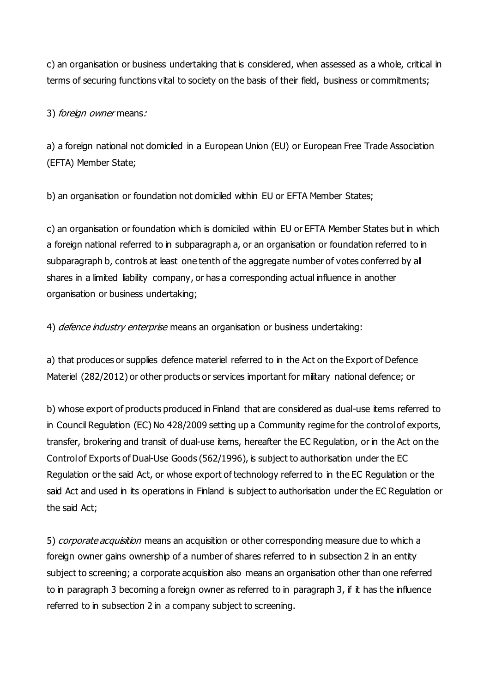c) an organisation or business undertaking that is considered, when assessed as a whole, critical in terms of securing functions vital to society on the basis of their field, business or commitments;

3) foreign owner means:

a) a foreign national not domiciled in a European Union (EU) or European Free Trade Association (EFTA) Member State;

b) an organisation or foundation not domiciled within EU or EFTA Member States;

c) an organisation or foundation which is domiciled within EU or EFTA Member States but in which a foreign national referred to in subparagraph a, or an organisation or foundation referred to in subparagraph b, controls at least one tenth of the aggregate number of votes conferred by all shares in a limited liability company, or has a corresponding actual influence in another organisation or business undertaking;

4) *defence industry enterprise* means an organisation or business undertaking:

a) that produces or supplies defence materiel referred to in the Act on the Export of Defence Materiel (282/2012) or other products or services important for military national defence; or

b) whose export of products produced in Finland that are considered as dual-use items referred to in Council Regulation (EC) No 428/2009 setting up a Community regime for the control of exports, transfer, brokering and transit of dual-use items, hereafter the EC Regulation, or in the Act on the Control of Exports of Dual-Use Goods (562/1996), is subject to authorisation under the EC Regulation or the said Act, or whose export of technology referred to in the EC Regulation or the said Act and used in its operations in Finland is subject to authorisation under the EC Regulation or the said Act;

5) *corporate acquisition* means an acquisition or other corresponding measure due to which a foreign owner gains ownership of a number of shares referred to in subsection 2 in an entity subject to screening; a corporate acquisition also means an organisation other than one referred to in paragraph 3 becoming a foreign owner as referred to in paragraph 3, if it has the influence referred to in subsection 2 in a company subject to screening.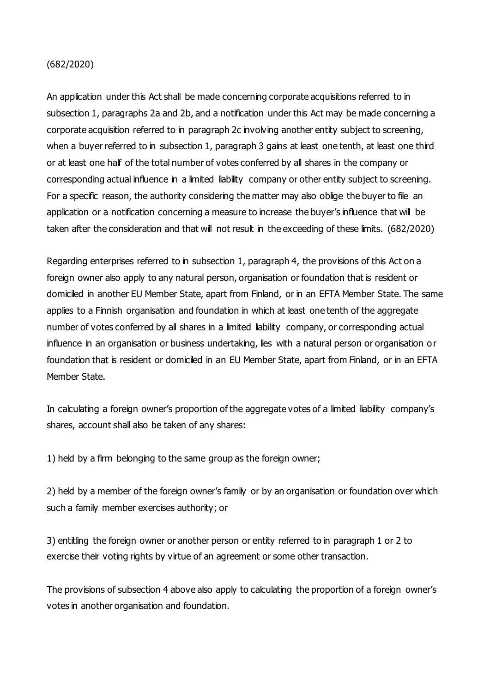#### (682/2020)

An application under this Act shall be made concerning corporate acquisitions referred to in subsection 1, paragraphs 2a and 2b, and a notification under this Act may be made concerning a corporate acquisition referred to in paragraph 2c involving another entity subject to screening, when a buyer referred to in subsection 1, paragraph 3 gains at least one tenth, at least one third or at least one half of the total number of votes conferred by all shares in the company or corresponding actual influence in a limited liability company or other entity subject to screening. For a specific reason, the authority considering the matter may also oblige the buyer to file an application or a notification concerning a measure to increase the buyer's influence that will be taken after the consideration and that will not result in the exceeding of these limits. (682/2020)

Regarding enterprises referred to in subsection 1, paragraph 4, the provisions of this Act on a foreign owner also apply to any natural person, organisation or foundation that is resident or domiciled in another EU Member State, apart from Finland, or in an EFTA Member State. The same applies to a Finnish organisation and foundation in which at least one tenth of the aggregate number of votes conferred by all shares in a limited liability company, or corresponding actual influence in an organisation or business undertaking, lies with a natural person or organisation o r foundation that is resident or domiciled in an EU Member State, apart from Finland, or in an EFTA Member State.

In calculating a foreign owner's proportion of the aggregate votes of a limited liability company's shares, account shall also be taken of any shares:

1) held by a firm belonging to the same group as the foreign owner;

2) held by a member of the foreign owner's family or by an organisation or foundation over which such a family member exercises authority; or

3) entitling the foreign owner or another person or entity referred to in paragraph 1 or 2 to exercise their voting rights by virtue of an agreement or some other transaction.

The provisions of subsection 4 above also apply to calculating the proportion of a foreign owner's votes in another organisation and foundation.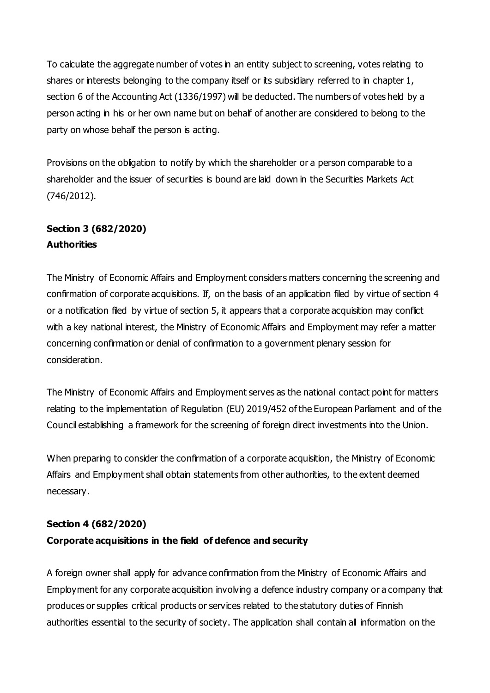To calculate the aggregate number of votes in an entity subject to screening, votes relating to shares or interests belonging to the company itself or its subsidiary referred to in chapter 1, section 6 of the Accounting Act (1336/1997) will be deducted. The numbers of votes held by a person acting in his or her own name but on behalf of another are considered to belong to the party on whose behalf the person is acting.

Provisions on the obligation to notify by which the shareholder or a person comparable to a shareholder and the issuer of securities is bound are laid down in the Securities Markets Act (746/2012).

## **Section 3 (682/2020) Authorities**

The Ministry of Economic Affairs and Employment considers matters concerning the screening and confirmation of corporate acquisitions. If, on the basis of an application filed by virtue of section 4 or a notification filed by virtue of section 5, it appears that a corporate acquisition may conflict with a key national interest, the Ministry of Economic Affairs and Employment may refer a matter concerning confirmation or denial of confirmation to a government plenary session for consideration.

The Ministry of Economic Affairs and Employment serves as the national contact point for matters relating to the implementation of Regulation (EU) 2019/452 of the European Parliament and of the Council establishing a framework for the screening of foreign direct investments into the Union.

When preparing to consider the confirmation of a corporate acquisition, the Ministry of Economic Affairs and Employment shall obtain statements from other authorities, to the extent deemed necessary.

### **Section 4 (682/2020)**

### **Corporate acquisitions in the field of defence and security**

A foreign owner shall apply for advance confirmation from the Ministry of Economic Affairs and Employment for any corporate acquisition involving a defence industry company or a company that produces or supplies critical products or services related to the statutory duties of Finnish authorities essential to the security of society. The application shall contain all information on the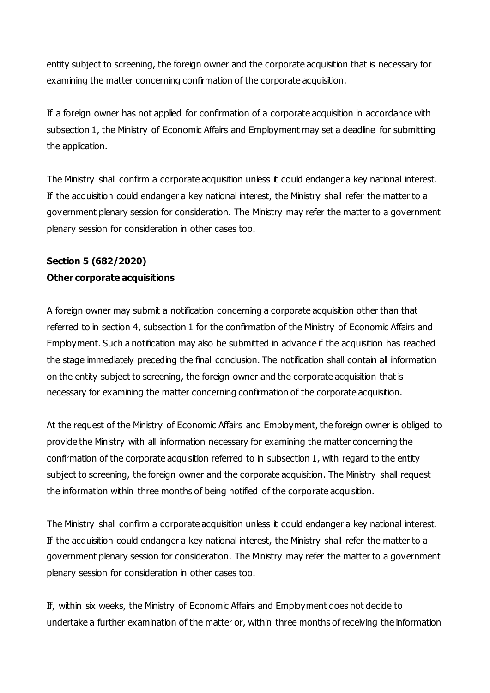entity subject to screening, the foreign owner and the corporate acquisition that is necessary for examining the matter concerning confirmation of the corporate acquisition.

If a foreign owner has not applied for confirmation of a corporate acquisition in accordance with subsection 1, the Ministry of Economic Affairs and Employment may set a deadline for submitting the application.

The Ministry shall confirm a corporate acquisition unless it could endanger a key national interest. If the acquisition could endanger a key national interest, the Ministry shall refer the matter to a government plenary session for consideration. The Ministry may refer the matter to a government plenary session for consideration in other cases too.

# **Section 5 (682/2020) Other corporate acquisitions**

A foreign owner may submit a notification concerning a corporate acquisition other than that referred to in section 4, subsection 1 for the confirmation of the Ministry of Economic Affairs and Employment. Such a notification may also be submitted in advance if the acquisition has reached the stage immediately preceding the final conclusion. The notification shall contain all information on the entity subject to screening, the foreign owner and the corporate acquisition that is necessary for examining the matter concerning confirmation of the corporate acquisition.

At the request of the Ministry of Economic Affairs and Employment, the foreign owner is obliged to provide the Ministry with all information necessary for examining the matter concerning the confirmation of the corporate acquisition referred to in subsection 1, with regard to the entity subject to screening, the foreign owner and the corporate acquisition. The Ministry shall request the information within three months of being notified of the corporate acquisition.

The Ministry shall confirm a corporate acquisition unless it could endanger a key national interest. If the acquisition could endanger a key national interest, the Ministry shall refer the matter to a government plenary session for consideration. The Ministry may refer the matter to a government plenary session for consideration in other cases too.

If, within six weeks, the Ministry of Economic Affairs and Employment does not decide to undertake a further examination of the matter or, within three months of receiving the information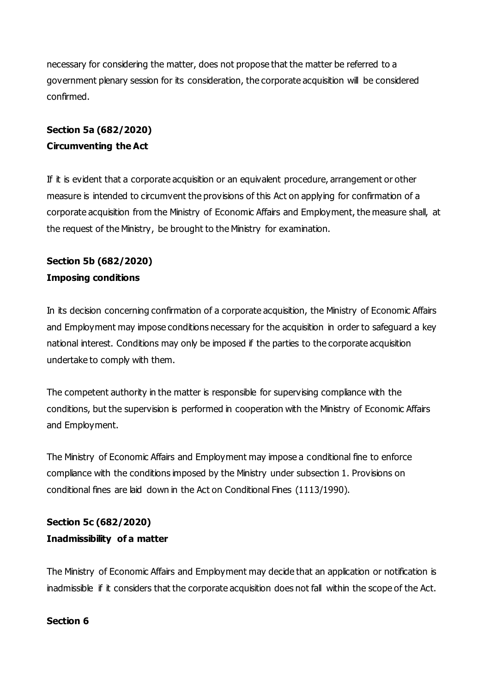necessary for considering the matter, does not propose that the matter be referred to a government plenary session for its consideration, the corporate acquisition will be considered confirmed.

# **Section 5a (682/2020) Circumventing the Act**

If it is evident that a corporate acquisition or an equivalent procedure, arrangement or other measure is intended to circumvent the provisions of this Act on applying for confirmation of a corporate acquisition from the Ministry of Economic Affairs and Employment, the measure shall, at the request of the Ministry, be brought to the Ministry for examination.

# **Section 5b (682/2020) Imposing conditions**

In its decision concerning confirmation of a corporate acquisition, the Ministry of Economic Affairs and Employment may impose conditions necessary for the acquisition in order to safeguard a key national interest. Conditions may only be imposed if the parties to the corporate acquisition undertake to comply with them.

The competent authority in the matter is responsible for supervising compliance with the conditions, but the supervision is performed in cooperation with the Ministry of Economic Affairs and Employment.

The Ministry of Economic Affairs and Employment may impose a conditional fine to enforce compliance with the conditions imposed by the Ministry under subsection 1. Provisions on conditional fines are laid down in the Act on Conditional Fines (1113/1990).

# **Section 5c (682/2020) Inadmissibility of a matter**

The Ministry of Economic Affairs and Employment may decide that an application or notification is inadmissible if it considers that the corporate acquisition does not fall within the scope of the Act.

### **Section 6**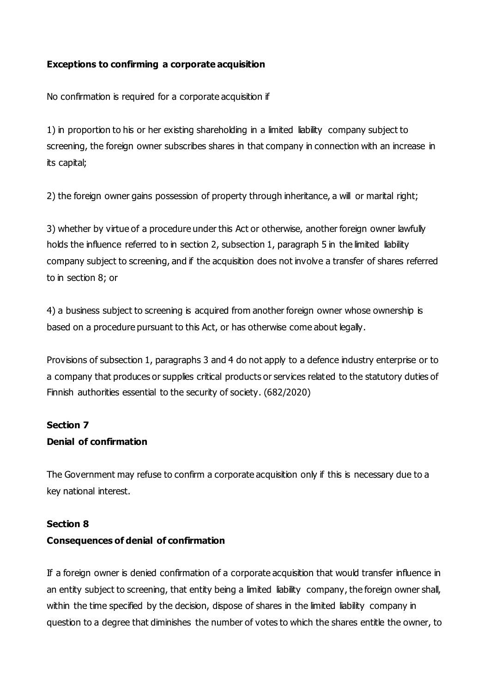#### **Exceptions to confirming a corporate acquisition**

No confirmation is required for a corporate acquisition if

1) in proportion to his or her existing shareholding in a limited liability company subject to screening, the foreign owner subscribes shares in that company in connection with an increase in its capital;

2) the foreign owner gains possession of property through inheritance, a will or marital right;

3) whether by virtue of a procedure under this Act or otherwise, another foreign owner lawfully holds the influence referred to in section 2, subsection 1, paragraph 5 in the limited liability company subject to screening, and if the acquisition does not involve a transfer of shares referred to in section 8; or

4) a business subject to screening is acquired from another foreign owner whose ownership is based on a procedure pursuant to this Act, or has otherwise come about legally.

Provisions of subsection 1, paragraphs 3 and 4 do not apply to a defence industry enterprise or to a company that produces or supplies critical products or services related to the statutory duties of Finnish authorities essential to the security of society. (682/2020)

#### **Section 7**

#### **Denial of confirmation**

The Government may refuse to confirm a corporate acquisition only if this is necessary due to a key national interest.

#### **Section 8**

#### **Consequences of denial of confirmation**

If a foreign owner is denied confirmation of a corporate acquisition that would transfer influence in an entity subject to screening, that entity being a limited liability company, the foreign owner shall, within the time specified by the decision, dispose of shares in the limited liability company in question to a degree that diminishes the number of votes to which the shares entitle the owner, to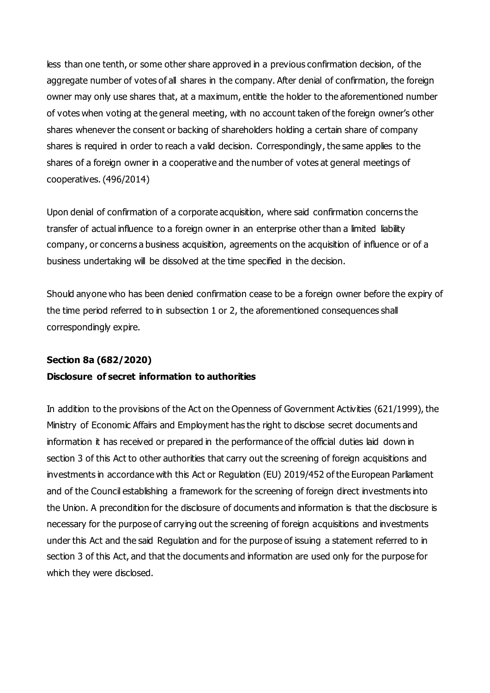less than one tenth, or some other share approved in a previous confirmation decision, of the aggregate number of votes of all shares in the company. After denial of confirmation, the foreign owner may only use shares that, at a maximum, entitle the holder to the aforementioned number of votes when voting at the general meeting, with no account taken of the foreign owner's other shares whenever the consent or backing of shareholders holding a certain share of company shares is required in order to reach a valid decision. Correspondingly, the same applies to the shares of a foreign owner in a cooperative and the number of votes at general meetings of cooperatives. (496/2014)

Upon denial of confirmation of a corporate acquisition, where said confirmation concerns the transfer of actual influence to a foreign owner in an enterprise other than a limited liability company, or concerns a business acquisition, agreements on the acquisition of influence or of a business undertaking will be dissolved at the time specified in the decision.

Should anyone who has been denied confirmation cease to be a foreign owner before the expiry of the time period referred to in subsection 1 or 2, the aforementioned consequences shall correspondingly expire.

# **Section 8a (682/2020) Disclosure of secret information to authorities**

In addition to the provisions of the Act on the Openness of Government Activities (621/1999), the Ministry of Economic Affairs and Employment has the right to disclose secret documents and information it has received or prepared in the performance of the official duties laid down in section 3 of this Act to other authorities that carry out the screening of foreign acquisitions and investments in accordance with this Act or Regulation (EU) 2019/452 of the European Parliament and of the Council establishing a framework for the screening of foreign direct investments into the Union. A precondition for the disclosure of documents and information is that the disclosure is necessary for the purpose of carrying out the screening of foreign acquisitions and investments under this Act and the said Regulation and for the purpose of issuing a statement referred to in section 3 of this Act, and that the documents and information are used only for the purpose for which they were disclosed.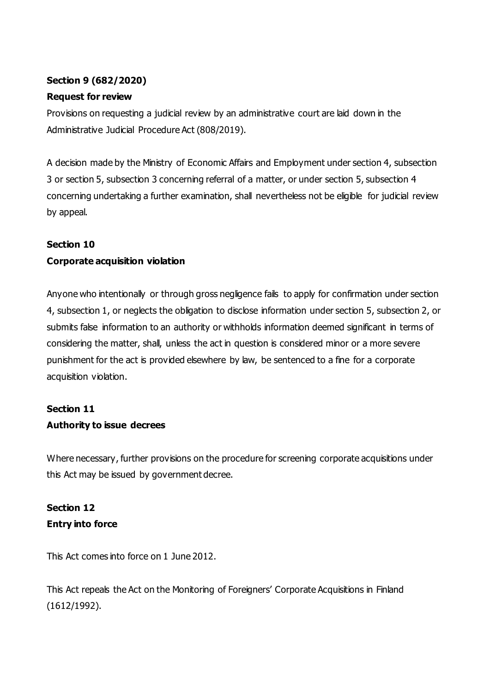### **Section 9 (682/2020)**

### **Request for review**

Provisions on requesting a judicial review by an administrative court are laid down in the Administrative Judicial Procedure Act (808/2019).

A decision made by the Ministry of Economic Affairs and Employment under section 4, subsection 3 or section 5, subsection 3 concerning referral of a matter, or under section 5, subsection 4 concerning undertaking a further examination, shall nevertheless not be eligible for judicial review by appeal.

#### **Section 10**

### **Corporate acquisition violation**

Anyone who intentionally or through gross negligence fails to apply for confirmation under section 4, subsection 1, or neglects the obligation to disclose information under section 5, subsection 2, or submits false information to an authority or withholds information deemed significant in terms of considering the matter, shall, unless the act in question is considered minor or a more severe punishment for the act is provided elsewhere by law, be sentenced to a fine for a corporate acquisition violation.

# **Section 11**

### **Authority to issue decrees**

Where necessary, further provisions on the procedure for screening corporate acquisitions under this Act may be issued by government decree.

## **Section 12 Entry into force**

This Act comes into force on 1 June 2012.

This Act repeals the Act on the Monitoring of Foreigners' Corporate Acquisitions in Finland (1612/1992).